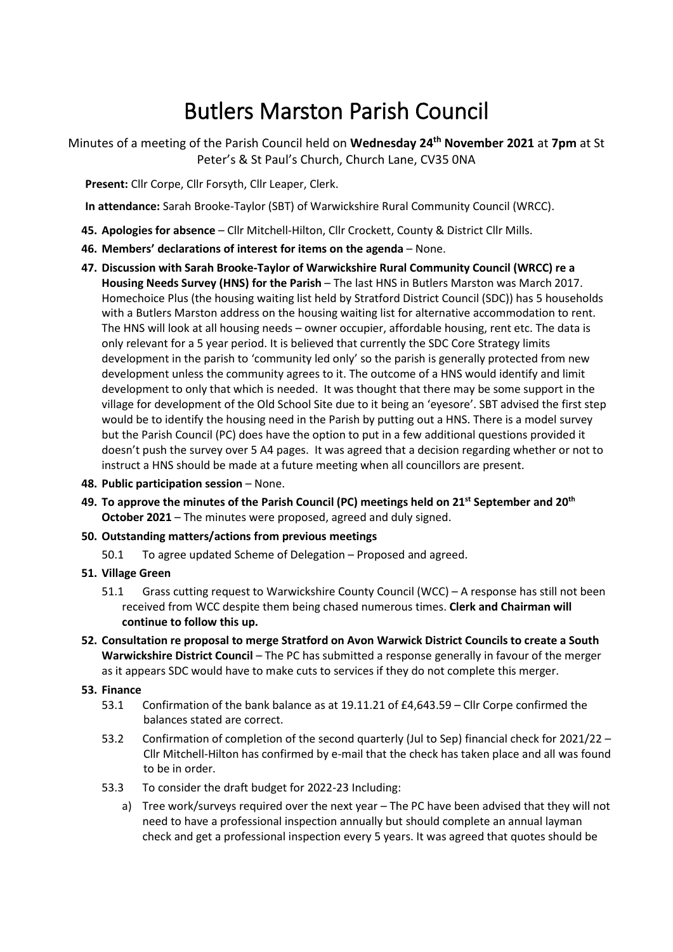# Butlers Marston Parish Council

Minutes of a meeting of the Parish Council held on **Wednesday 24th November 2021** at **7pm** at St Peter's & St Paul's Church, Church Lane, CV35 0NA

**Present:** Cllr Corpe, Cllr Forsyth, Cllr Leaper, Clerk.

**In attendance:** Sarah Brooke-Taylor (SBT) of Warwickshire Rural Community Council (WRCC).

- **45. Apologies for absence** Cllr Mitchell-Hilton, Cllr Crockett, County & District Cllr Mills.
- **46. Members' declarations of interest for items on the agenda** None.
- **47. Discussion with Sarah Brooke-Taylor of Warwickshire Rural Community Council (WRCC) re a Housing Needs Survey (HNS) for the Parish** – The last HNS in Butlers Marston was March 2017. Homechoice Plus (the housing waiting list held by Stratford District Council (SDC)) has 5 households with a Butlers Marston address on the housing waiting list for alternative accommodation to rent. The HNS will look at all housing needs – owner occupier, affordable housing, rent etc. The data is only relevant for a 5 year period. It is believed that currently the SDC Core Strategy limits development in the parish to 'community led only' so the parish is generally protected from new development unless the community agrees to it. The outcome of a HNS would identify and limit development to only that which is needed. It was thought that there may be some support in the village for development of the Old School Site due to it being an 'eyesore'. SBT advised the first step would be to identify the housing need in the Parish by putting out a HNS. There is a model survey but the Parish Council (PC) does have the option to put in a few additional questions provided it doesn't push the survey over 5 A4 pages. It was agreed that a decision regarding whether or not to instruct a HNS should be made at a future meeting when all councillors are present.
- **48. Public participation session** None.
- **49. To approve the minutes of the Parish Council (PC) meetings held on 21st September and 20th October 2021** – The minutes were proposed, agreed and duly signed.
- **50. Outstanding matters/actions from previous meetings**
	- 50.1 To agree updated Scheme of Delegation Proposed and agreed.
- **51. Village Green**
	- 51.1 Grass cutting request to Warwickshire County Council (WCC) A response has still not been received from WCC despite them being chased numerous times. **Clerk and Chairman will continue to follow this up.**
- **52. Consultation re proposal to merge Stratford on Avon Warwick District Councils to create a South Warwickshire District Council** – The PC has submitted a response generally in favour of the merger as it appears SDC would have to make cuts to services if they do not complete this merger.

### **53. Finance**

- 53.1 Confirmation of the bank balance as at 19.11.21 of £4,643.59 Cllr Corpe confirmed the balances stated are correct.
- 53.2 Confirmation of completion of the second quarterly (Jul to Sep) financial check for 2021/22 Cllr Mitchell-Hilton has confirmed by e-mail that the check has taken place and all was found to be in order.
- 53.3 To consider the draft budget for 2022-23 Including:
	- a) Tree work/surveys required over the next year The PC have been advised that they will not need to have a professional inspection annually but should complete an annual layman check and get a professional inspection every 5 years. It was agreed that quotes should be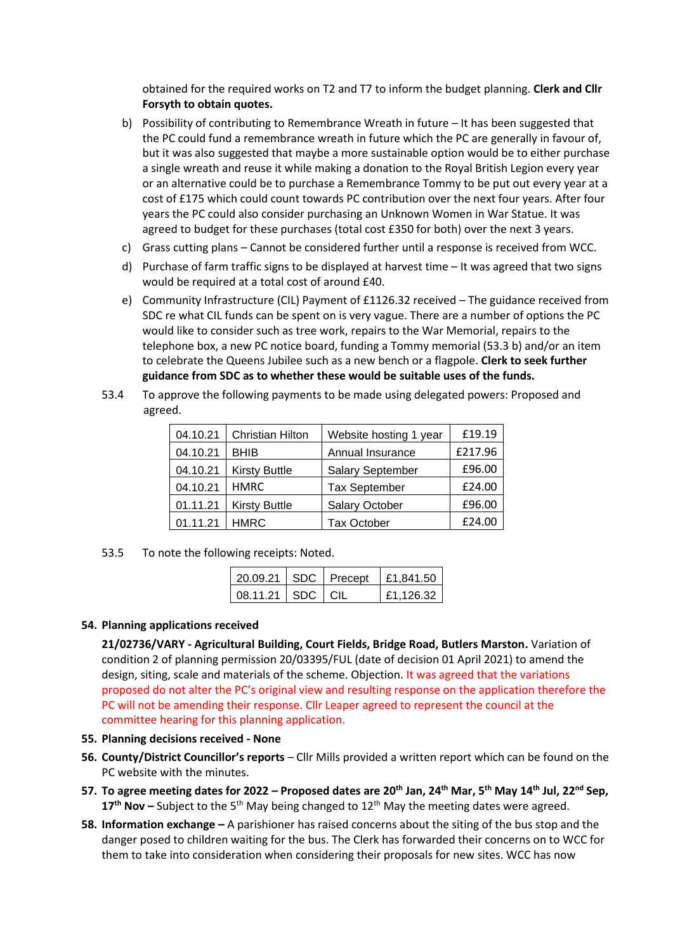obtained for the required works on T2 and T7 to inform the budget planning. **Clerk and Cllr Forsyth to obtain quotes.**

- b) Possibility of contributing to Remembrance Wreath in future It has been suggested that the PC could fund a remembrance wreath in future which the PC are generally in favour of, but it was also suggested that maybe a more sustainable option would be to either purchase a single wreath and reuse it while making a donation to the Royal British Legion every year or an alternative could be to purchase a Remembrance Tommy to be put out every year at a cost of £175 which could count towards PC contribution over the next four years. After four years the PC could also consider purchasing an Unknown Women in War Statue. It was agreed to budget for these purchases (total cost £350 for both) over the next 3 years.
- c) Grass cutting plans Cannot be considered further until a response is received from WCC.
- d) Purchase of farm traffic signs to be displayed at harvest time It was agreed that two signs would be required at a total cost of around £40.
- e) Community Infrastructure (CIL) Payment of £1126.32 received The guidance received from SDC re what CIL funds can be spent on is very vague. There are a number of options the PC would like to consider such as tree work, repairs to the War Memorial, repairs to the telephone box, a new PC notice board, funding a Tommy memorial (53.3 b) and/or an item to celebrate the Queens Jubilee such as a new bench or a flagpole. **Clerk to seek further guidance from SDC as to whether these would be suitable uses of the funds.**
- 53.4 To approve the following payments to be made using delegated powers: Proposed and agreed.

| 04.10.21 | Christian Hilton     | Website hosting 1 year  | £19.19  |
|----------|----------------------|-------------------------|---------|
| 04.10.21 | <b>BHIB</b>          | Annual Insurance        | £217.96 |
| 04.10.21 | <b>Kirsty Buttle</b> | <b>Salary September</b> | £96.00  |
| 04.10.21 | <b>HMRC</b>          | <b>Tax September</b>    | £24.00  |
| 01.11.21 | <b>Kirsty Buttle</b> | <b>Salary October</b>   | £96.00  |
| 01.11.21 | <b>HMRC</b>          | <b>Tax October</b>      | £24.00  |

53.5 To note the following receipts: Noted.

|                      |  | 20.09.21   SDC   Precept   £1,841.50 |
|----------------------|--|--------------------------------------|
| 08.11.21   SDC   CIL |  | £1,126.32                            |

#### **54. Planning applications received**

**21/02736/VARY - Agricultural Building, Court Fields, Bridge Road, Butlers Marston.** Variation of condition 2 of planning permission 20/03395/FUL (date of decision 01 April 2021) to amend the design, siting, scale and materials of the scheme. Objection. It was agreed that the variations proposed do not alter the PC's original view and resulting response on the application therefore the PC will not be amending their response. Cllr Leaper agreed to represent the council at the committee hearing for this planning application.

#### **55. Planning decisions received - None**

- **56. County/District Councillor's reports** Cllr Mills provided a written report which can be found on the PC website with the minutes.
- **57. To agree meeting dates for 2022 – Proposed dates are 20th Jan, 24th Mar, 5th May 14th Jul, 22nd Sep,**  17<sup>th</sup> Nov – Subject to the 5<sup>th</sup> May being changed to 12<sup>th</sup> May the meeting dates were agreed.
- **58. Information exchange –** A parishioner has raised concerns about the siting of the bus stop and the danger posed to children waiting for the bus. The Clerk has forwarded their concerns on to WCC for them to take into consideration when considering their proposals for new sites. WCC has now